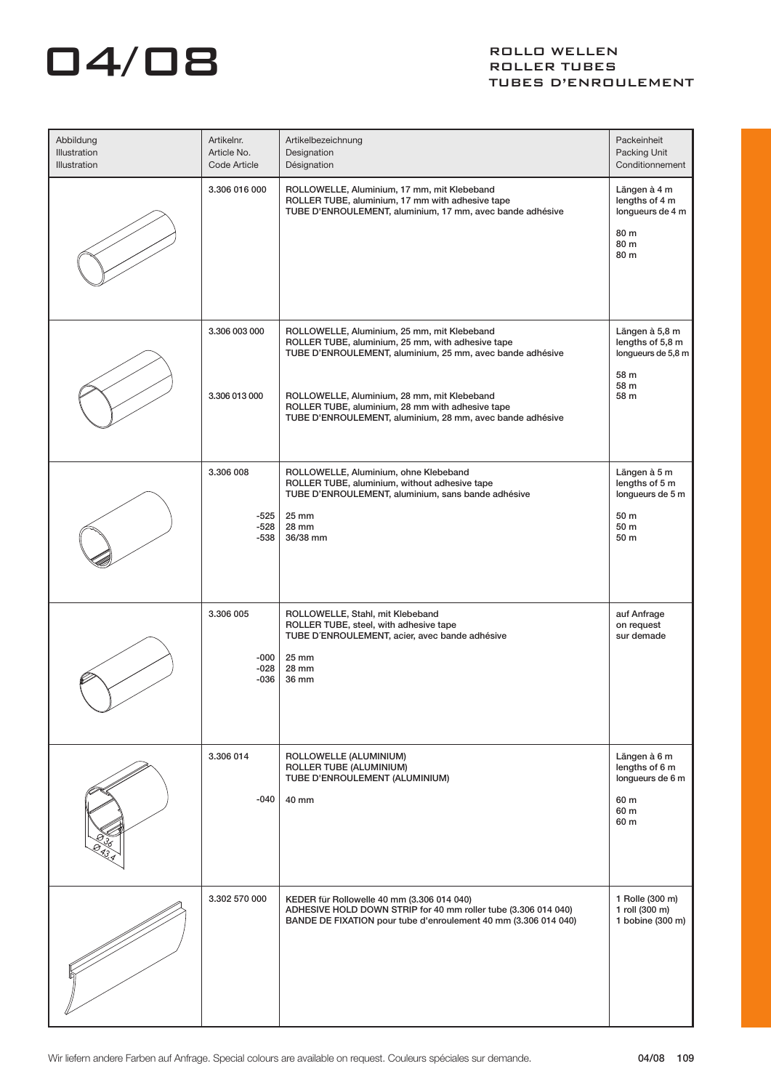## $\overline{\mathbf{04}}$   $\overline{\mathbf{08}}$  ROLLER TUBES

## ROLLER TUBES TUBES D'ENROULEMENT

| Abbildung<br>Illustration<br>Illustration | Artikelnr.<br>Article No.<br>Code Article | Artikelbezeichnung<br>Designation<br>Désignation                                                                                                                                                                                                                                                                              | Packeinheit<br>Packing Unit<br>Conditionnement                                   |
|-------------------------------------------|-------------------------------------------|-------------------------------------------------------------------------------------------------------------------------------------------------------------------------------------------------------------------------------------------------------------------------------------------------------------------------------|----------------------------------------------------------------------------------|
|                                           | 3.306 016 000                             | ROLLOWELLE, Aluminium, 17 mm, mit Klebeband<br>ROLLER TUBE, aluminium, 17 mm with adhesive tape<br>TUBE D'ENROULEMENT, aluminium, 17 mm, avec bande adhésive                                                                                                                                                                  | Längen à 4 m<br>lengths of 4 m<br>longueurs de 4 m<br>80 m<br>80 m<br>80 m       |
|                                           | 3.306 003 000<br>3.306 013 000            | ROLLOWELLE, Aluminium, 25 mm, mit Klebeband<br>ROLLER TUBE, aluminium, 25 mm, with adhesive tape<br>TUBE D'ENROULEMENT, aluminium, 25 mm, avec bande adhésive<br>ROLLOWELLE, Aluminium, 28 mm, mit Klebeband<br>ROLLER TUBE, aluminium, 28 mm with adhesive tape<br>TUBE D'ENROULEMENT, aluminium, 28 mm, avec bande adhésive | Längen à 5,8 m<br>lengths of 5,8 m<br>longueurs de 5,8 m<br>58 m<br>58 m<br>58 m |
|                                           | 3.306 008<br>-525<br>-528<br>-538         | ROLLOWELLE, Aluminium, ohne Klebeband<br>ROLLER TUBE, aluminium, without adhesive tape<br>TUBE D'ENROULEMENT, aluminium, sans bande adhésive<br>25 mm<br>28 mm<br>36/38 mm                                                                                                                                                    | Längen à 5 m<br>lengths of 5 m<br>longueurs de 5 m<br>50 m<br>50 m<br>50 m       |
|                                           | 3.306 005<br>-000<br>$-028$<br>-036       | ROLLOWELLE, Stahl, mit Klebeband<br>ROLLER TUBE, steel, with adhesive tape<br>TUBE D'ENROULEMENT, acier, avec bande adhésive<br>25 mm<br>28 mm<br>36 mm                                                                                                                                                                       | auf Anfrage<br>on request<br>sur demade                                          |
|                                           | 3.306 014<br>-040                         | ROLLOWELLE (ALUMINIUM)<br>ROLLER TUBE (ALUMINIUM)<br>TUBE D'ENROULEMENT (ALUMINIUM)<br>40 mm                                                                                                                                                                                                                                  | Längen à 6 m<br>lengths of 6 m<br>longueurs de 6 m<br>60 m<br>60 m<br>60 m       |
|                                           | 3.302 570 000                             | KEDER für Rollowelle 40 mm (3.306 014 040)<br>ADHESIVE HOLD DOWN STRIP for 40 mm roller tube (3.306 014 040)<br>BANDE DE FIXATION pour tube d'enroulement 40 mm (3.306 014 040)                                                                                                                                               | 1 Rolle (300 m)<br>1 roll (300 m)<br>1 bobine (300 m)                            |